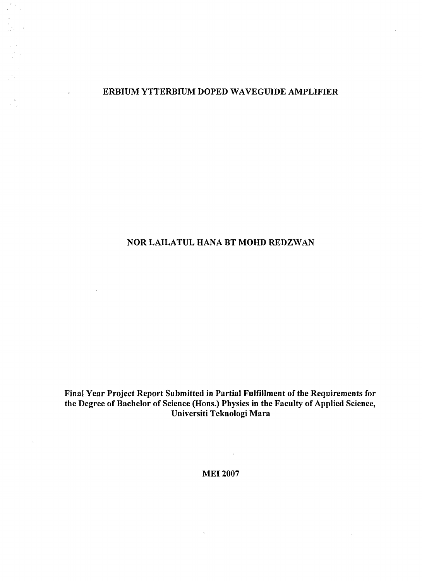### ERBIUM YTTERBIUM DOPED WAVEGUIDE AMPLIFIER

 $\frac{1}{3}$ 

 $\Delta$ 

## NOR LAILATUL HANA BT MOHD REDZWAN

Final Year Project Report Submitted in Partial Fulfillment of the Requirements for the Degree of Bachelor of Science (Hons.) Physics in the Faculty of Applied Science, Universiti Teknologi Mara

MEI 2007

 $\bar{\mathbf{x}}$ 

 $\sim$   $\alpha$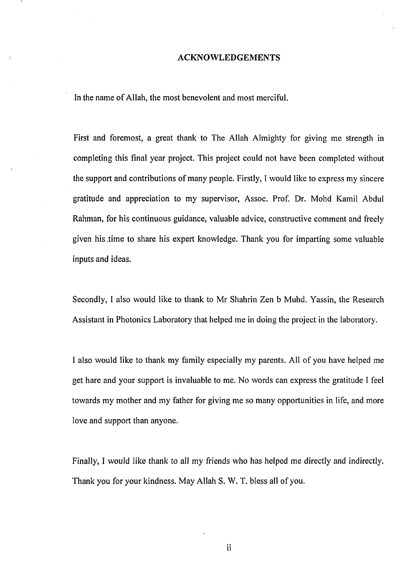#### ACKNOWLEDGEMENTS

In the name of Allah, the most benevolent and most merciful.

First and foremost, a great thank to The Allah Almighty for giving me strength in completing this final year project. This project could not have been completed without the support and contributions of many people. Firstly, I would like to express my sincere gratitude and appreciation to my supervisor, Assoc. Prof. Dr. Mohd Kamil Abdul Rahman, for his continuous guidance, valuable advice, constructive comment and freely given his .time to share his expert knowledge. Thank you for imparting some valuable inputs and ideas.

Secondly, I also would like to thank to Mr Shahrin Zen b Muhd. Yassin, the Research Assistant in Photonics Laboratory that helped me in doing the project in the laboratory.

I also would like to thank my family especially my parents. All of you have helped me get hare and your support is invaluable to me. No words can express the gratitude I feel towards my mother and my father for giving me so many opportunities in life, and more love and support than anyone.

Finally, I would like thank to all my friends who has helped me directly and indirectly. Thank you for your kindness. May Allah S. W. T. bless all of you.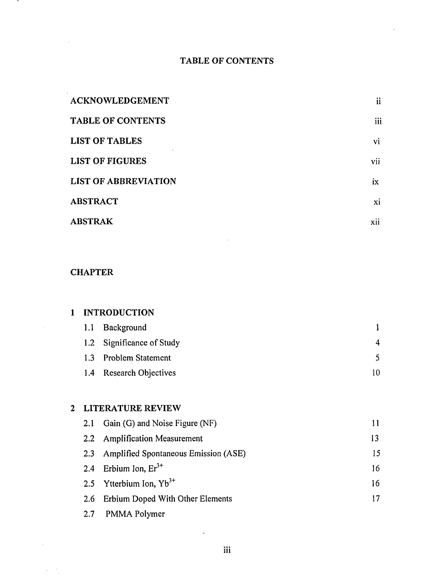# **TABLE OF CONTENTS**

| <b>ACKNOWLEDGEMENT</b>      | ii  |
|-----------------------------|-----|
| TABLE OF CONTENTS           | iii |
| <b>LIST OF TABLES</b>       | vi  |
| <b>LIST OF FIGURES</b>      | vii |
| <b>LIST OF ABBREVIATION</b> | ix  |
| <b>ABSTRACT</b>             | xi  |
| <b>ABSTRAK</b>              | xii |

 $\bar{\mathbf{r}}$ 

## **CHAPTER**

 $\ddot{\phantom{1}}$ 

 $\bar{z}$ 

| <b>INTRODUCTION</b> |                          |                                             |    |  |
|---------------------|--------------------------|---------------------------------------------|----|--|
|                     | 1.1                      | Background                                  | Ĩ  |  |
|                     | 1.2                      | Significance of Study                       | 4  |  |
|                     | 1.3 <sub>1</sub>         | <b>Problem Statement</b>                    | 5  |  |
|                     | 1.4                      | <b>Research Objectives</b>                  | 10 |  |
|                     |                          |                                             |    |  |
| 2                   | <b>LITERATURE REVIEW</b> |                                             |    |  |
|                     | 2.1                      | Gain (G) and Noise Figure (NF)              | 11 |  |
|                     | 2.2                      | <b>Amplification Measurement</b>            | 13 |  |
|                     | 2.3                      | <b>Amplified Spontaneous Emission (ASE)</b> | 15 |  |
|                     | 2.4                      | Erbium Ion, $Er^{3+}$                       | 16 |  |
|                     |                          |                                             |    |  |

| 2.5 Ytterbium Ion, $Yb^{3+}$         |  |
|--------------------------------------|--|
| 2.6 Erbium Doped With Other Elements |  |

2.7 PMMA Polymer

 $\lambda$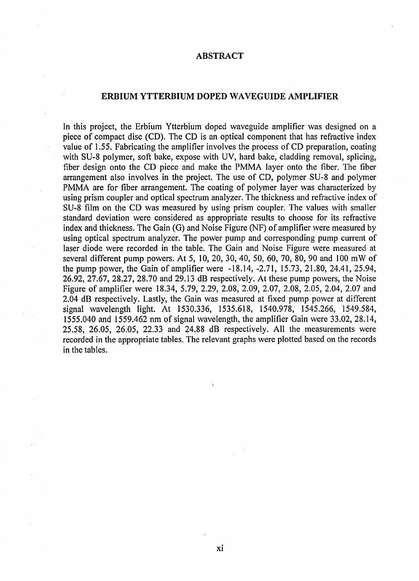#### **ABSTRACT**

#### **ERBIUM YTTERBIUM DOPED WAVEGUIDE AMPLIFIER**

In this project, the Erbium Ytterbium doped waveguide amplifier was designed on a piece of compact disc (CD). The CD is an optical component that has refractive index value of 1.55. Fabricating the amplifier involves the process of CD preparation, coating with SU-8 polymer, soft bake, expose with UV, hard bake, cladding removal, splicing, fiber design onto the CD piece and make the PMMA layer onto the fiber. The fiber arrangement also involves in the project. The use of CD, polymer SU-8 and polymer PMMA are for fiber arrangement. The coating of polymer layer was characterized by using prism coupler and optical spectrum analyzer. The thickness and refractive index of SU-8 film on the CD was measured by using prism coupler. The values with smaller standard deviation were considered as appropriate results to choose for its refractive index and thickness. The Gain (G) and Noise Figure (NF) of amplifier were measured by using optical spectrum analyzer. The power pump and corresponding pump current of laser diode were recorded in the table. The Gain and Noise Figure were measured at several different pump powers. At 5, 10, 20, 30, 40, 50, 60, 70, 80, 90 and 100 mW of the pump power, the Gain of amplifier were -18.14, -2.71, 15.73, 21.80, 24.41, 25.94, 26.92, 27.67, 28.27, 28.70 and 29.13 dB respectively. At these pump powers, the Noise Figure of amplifier were 18.34, 5.79, 2.29, 2.08, 2.09, 2.07, 2.08, 2.05, 2.04, 2.07 and 2.04 dB respectively. Lastly, the Gain was measured at fixed pump power at different signal wavelength light. At 1530.336, 1535.618, 1540.978, 1545.266, 1549.584, 1555.040 and 1559.462 nm of signal wavelength, the amplifier Gain were 33.02, 28.14, 25.58, 26.05, 26.05, 22.33 and 24.88 dB respectively. All the measurements were recorded in the appropriate tables. The relevant graphs were plotted based on the records in the tables.